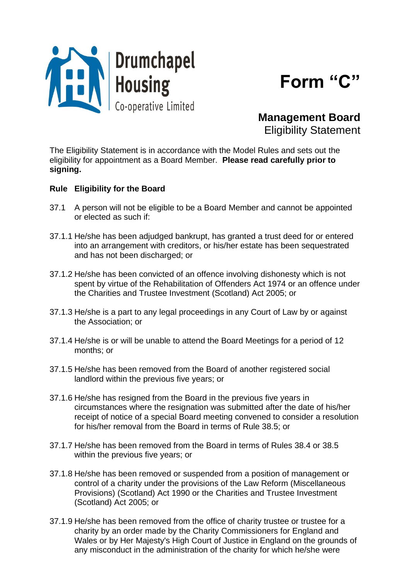



**Management Board** Eligibility Statement

The Eligibility Statement is in accordance with the Model Rules and sets out the eligibility for appointment as a Board Member. **Please read carefully prior to signing.**

## **Rule Eligibility for the Board**

- 37.1 A person will not be eligible to be a Board Member and cannot be appointed or elected as such if:
- 37.1.1 He/she has been adjudged bankrupt, has granted a trust deed for or entered into an arrangement with creditors, or his/her estate has been sequestrated and has not been discharged; or
- 37.1.2 He/she has been convicted of an offence involving dishonesty which is not spent by virtue of the Rehabilitation of Offenders Act 1974 or an offence under the Charities and Trustee Investment (Scotland) Act 2005; or
- 37.1.3 He/she is a part to any legal proceedings in any Court of Law by or against the Association; or
- 37.1.4 He/she is or will be unable to attend the Board Meetings for a period of 12 months; or
- 37.1.5 He/she has been removed from the Board of another registered social landlord within the previous five years; or
- 37.1.6 He/she has resigned from the Board in the previous five years in circumstances where the resignation was submitted after the date of his/her receipt of notice of a special Board meeting convened to consider a resolution for his/her removal from the Board in terms of Rule 38.5; or
- 37.1.7 He/she has been removed from the Board in terms of Rules 38.4 or 38.5 within the previous five years; or
- 37.1.8 He/she has been removed or suspended from a position of management or control of a charity under the provisions of the Law Reform (Miscellaneous Provisions) (Scotland) Act 1990 or the Charities and Trustee Investment (Scotland) Act 2005; or
- 37.1.9 He/she has been removed from the office of charity trustee or trustee for a charity by an order made by the Charity Commissioners for England and Wales or by Her Majesty's High Court of Justice in England on the grounds of any misconduct in the administration of the charity for which he/she were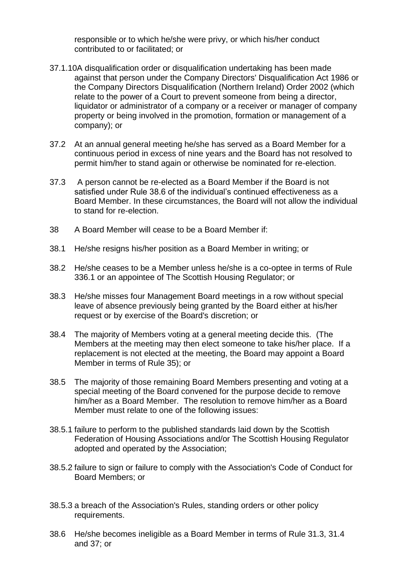responsible or to which he/she were privy, or which his/her conduct contributed to or facilitated; or

- 37.1.10A disqualification order or disqualification undertaking has been made against that person under the Company Directors' Disqualification Act 1986 or the Company Directors Disqualification (Northern Ireland) Order 2002 (which relate to the power of a Court to prevent someone from being a director, liquidator or administrator of a company or a receiver or manager of company property or being involved in the promotion, formation or management of a company); or
- 37.2 At an annual general meeting he/she has served as a Board Member for a continuous period in excess of nine years and the Board has not resolved to permit him/her to stand again or otherwise be nominated for re-election.
- 37.3 A person cannot be re-elected as a Board Member if the Board is not satisfied under Rule 38.6 of the individual's continued effectiveness as a Board Member. In these circumstances, the Board will not allow the individual to stand for re-election.
- 38 A Board Member will cease to be a Board Member if:
- 38.1 He/she resigns his/her position as a Board Member in writing; or
- 38.2 He/she ceases to be a Member unless he/she is a co-optee in terms of Rule 336.1 or an appointee of The Scottish Housing Regulator; or
- 38.3 He/she misses four Management Board meetings in a row without special leave of absence previously being granted by the Board either at his/her request or by exercise of the Board's discretion; or
- 38.4 The majority of Members voting at a general meeting decide this. (The Members at the meeting may then elect someone to take his/her place. If a replacement is not elected at the meeting, the Board may appoint a Board Member in terms of Rule 35); or
- 38.5 The majority of those remaining Board Members presenting and voting at a special meeting of the Board convened for the purpose decide to remove him/her as a Board Member. The resolution to remove him/her as a Board Member must relate to one of the following issues:
- 38.5.1 failure to perform to the published standards laid down by the Scottish Federation of Housing Associations and/or The Scottish Housing Regulator adopted and operated by the Association;
- 38.5.2 failure to sign or failure to comply with the Association's Code of Conduct for Board Members; or
- 38.5.3 a breach of the Association's Rules, standing orders or other policy requirements.
- 38.6 He/she becomes ineligible as a Board Member in terms of Rule 31.3, 31.4 and 37; or